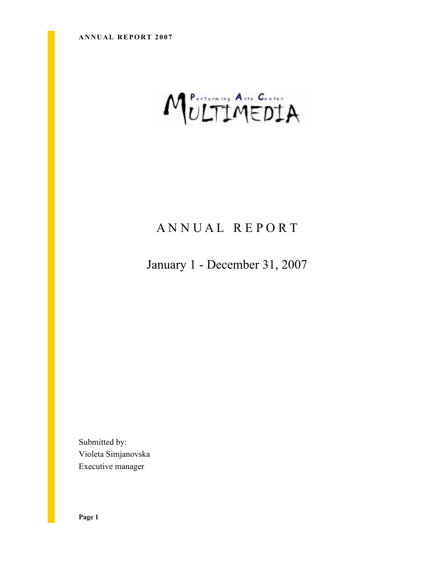# MULTIMEDIA

# A N N U A L R E P O R T

January 1 - December 31, 2007

Submitted by: Violeta Simjanovska Executive manager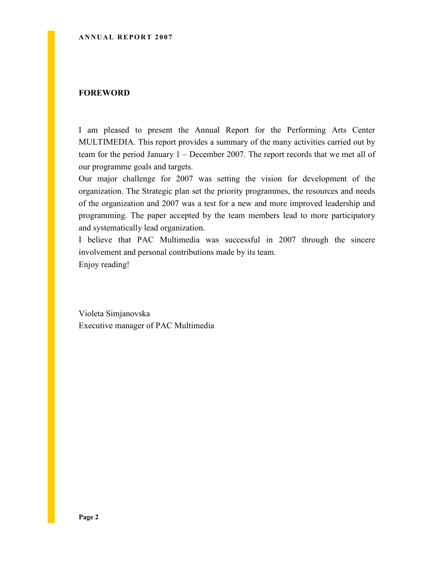#### FOREWORD

I am pleased to present the Annual Report for the Performing Arts Center MULTIMEDIA. This report provides a summary of the many activities carried out by team for the period January 1 – December 2007. The report records that we met all of our programme goals and targets.

Our major challenge for 2007 was setting the vision for development of the organization. The Strategic plan set the priority programmes, the resources and needs of the organization and 2007 was a test for a new and more improved leadership and programming. The paper accepted by the team members lead to more participatory and systematically lead organization.

I believe that PAC Multimedia was successful in 2007 through the sincere involvement and personal contributions made by its team. Enjoy reading!

Violeta Simjanovska Executive manager of PAC Multimedia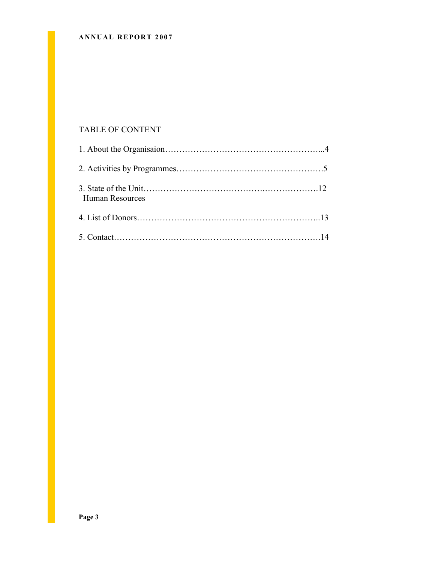#### ANNUAL REPORT 2007

### TABLE OF CONTENT

| Human Resources |  |
|-----------------|--|
|                 |  |
|                 |  |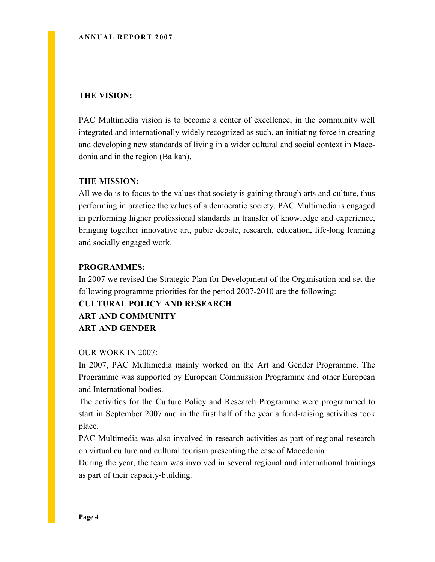#### THE VISION:

PAC Multimedia vision is to become a center of excellence, in the community well integrated and internationally widely recognized as such, an initiating force in creating and developing new standards of living in a wider cultural and social context in Macedonia and in the region (Balkan).

#### THE MISSION:

All we do is to focus to the values that society is gaining through arts and culture, thus performing in practice the values of a democratic society. PAC Multimedia is engaged in performing higher professional standards in transfer of knowledge and experience, bringing together innovative art, pubic debate, research, education, life-long learning and socially engaged work.

#### PROGRAMMES:

In 2007 we revised the Strategic Plan for Development of the Organisation and set the following programme priorities for the period 2007-2010 are the following:

# CULTURAL POLICY AND RESEARCH ART AND COMMUNITY ART AND GENDER

#### OUR WORK IN 2007:

In 2007, PAC Multimedia mainly worked on the Art and Gender Programme. The Programme was supported by European Commission Programme and other European and International bodies.

The activities for the Culture Policy and Research Programme were programmed to start in September 2007 and in the first half of the year a fund-raising activities took place.

PAC Multimedia was also involved in research activities as part of regional research on virtual culture and cultural tourism presenting the case of Macedonia.

During the year, the team was involved in several regional and international trainings as part of their capacity-building.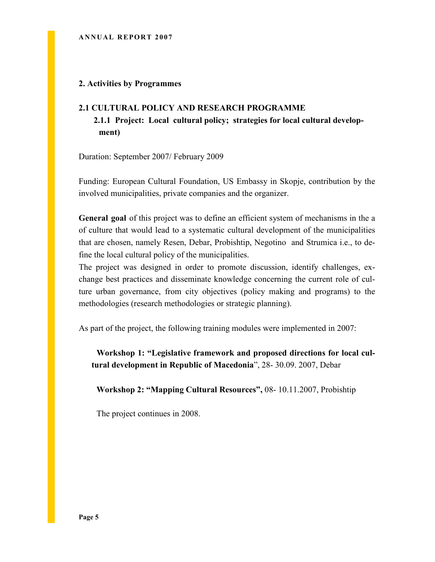#### 2. Activities by Programmes

# 2.1 CULTURAL POLICY AND RESEARCH PROGRAMME 2.1.1 Project: Local cultural policy; strategies for local cultural development)

Duration: September 2007/ February 2009

Funding: European Cultural Foundation, US Embassy in Skopje, contribution by the involved municipalities, private companies and the organizer.

General goal of this project was to define an efficient system of mechanisms in the a of culture that would lead to a systematic cultural development of the municipalities that are chosen, namely Resen, Debar, Probishtip, Negotino and Strumica i.e., to define the local cultural policy of the municipalities.

The project was designed in order to promote discussion, identify challenges, exchange best practices and disseminate knowledge concerning the current role of culture urban governance, from city objectives (policy making and programs) to the methodologies (research methodologies or strategic planning).

As part of the project, the following training modules were implemented in 2007:

Workshop 1: "Legislative framework and proposed directions for local cultural development in Republic of Macedonia", 28- 30.09. 2007, Debar

Workshop 2: "Mapping Cultural Resources", 08- 10.11.2007, Probishtip

The project continues in 2008.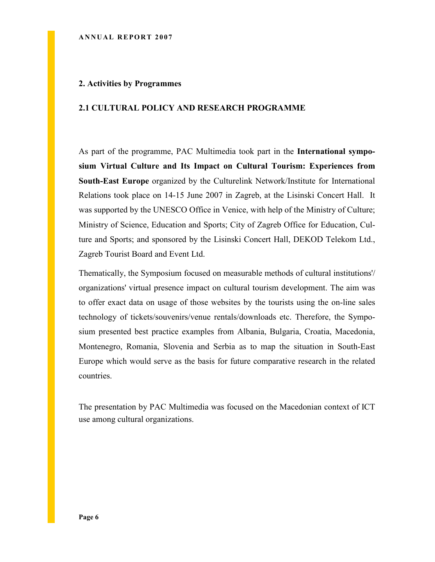#### 2. Activities by Programmes

#### 2.1 CULTURAL POLICY AND RESEARCH PROGRAMME

As part of the programme, PAC Multimedia took part in the International symposium Virtual Culture and Its Impact on Cultural Tourism: Experiences from South-East Europe organized by the Culturelink Network/Institute for International Relations took place on 14-15 June 2007 in Zagreb, at the Lisinski Concert Hall. It was supported by the UNESCO Office in Venice, with help of the Ministry of Culture; Ministry of Science, Education and Sports; City of Zagreb Office for Education, Culture and Sports; and sponsored by the Lisinski Concert Hall, DEKOD Telekom Ltd., Zagreb Tourist Board and Event Ltd.

Thematically, the Symposium focused on measurable methods of cultural institutions'/ organizations' virtual presence impact on cultural tourism development. The aim was to offer exact data on usage of those websites by the tourists using the on-line sales technology of tickets/souvenirs/venue rentals/downloads etc. Therefore, the Symposium presented best practice examples from Albania, Bulgaria, Croatia, Macedonia, Montenegro, Romania, Slovenia and Serbia as to map the situation in South-East Europe which would serve as the basis for future comparative research in the related countries.

The presentation by PAC Multimedia was focused on the Macedonian context of ICT use among cultural organizations.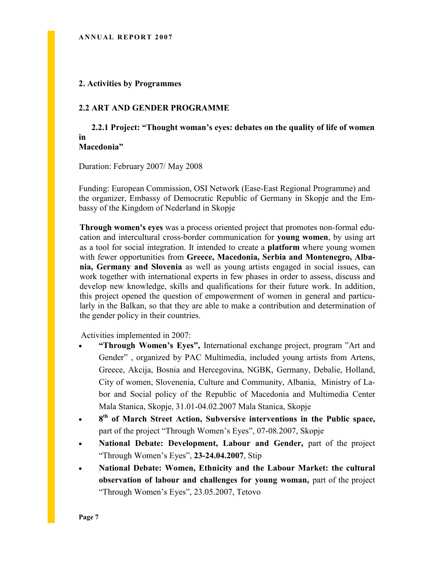#### 2. Activities by Programmes

#### 2.2 ART AND GENDER PROGRAMME

 2.2.1 Project: "Thought woman's eyes: debates on the quality of life of women in Macedonia"

Duration: February 2007/ May 2008

Funding: European Commission, OSI Network (Ease-East Regional Programme) and the organizer, Embassy of Democratic Republic of Germany in Skopje and the Embassy of the Kingdom of Nederland in Skopje

Through women's eyes was a process oriented project that promotes non-formal education and intercultural cross-border communication for young women, by using art as a tool for social integration. It intended to create a platform where young women with fewer opportunities from Greece, Macedonia, Serbia and Montenegro, Albania, Germany and Slovenia as well as young artists engaged in social issues, can work together with international experts in few phases in order to assess, discuss and develop new knowledge, skills and qualifications for their future work. In addition, this project opened the question of empowerment of women in general and particularly in the Balkan, so that they are able to make a contribution and determination of the gender policy in their countries.

Activities implemented in 2007:

- "Through Women's Eyes", International exchange project, program "Art and Gender" , organized by PAC Multimedia, included young artists from Artens, Greece, Akcija, Bosnia and Hercegovina, NGBK, Germany, Debalie, Holland, City of women, Slovenenia, Culture and Community, Albania, Ministry of Labor and Social policy of the Republic of Macedonia and Multimedia Center Mala Stanica, Skopje, 31.01-04.02.2007 Mala Stanica, Skopje
- 8<sup>th</sup> of March Street Action, Subversive interventions in the Public space, part of the project "Through Women's Eyes", 07-08.2007, Skopje
- National Debate: Development, Labour and Gender, part of the project "Through Women's Eyes", 23-24.04.2007, Stip
- National Debate: Women, Ethnicity and the Labour Market: the cultural observation of labour and challenges for young woman, part of the project "Through Women's Eyes", 23.05.2007, Tetovo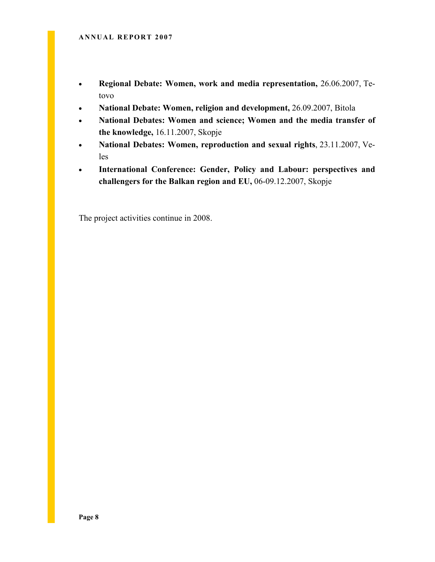- Regional Debate: Women, work and media representation, 26.06.2007, Tetovo
- National Debate: Women, religion and development, 26.09.2007, Bitola
- National Debates: Women and science; Women and the media transfer of the knowledge, 16.11.2007, Skopje
- National Debates: Women, reproduction and sexual rights, 23.11.2007, Veles
- International Conference: Gender, Policy and Labour: perspectives and challengers for the Balkan region and EU, 06-09.12.2007, Skopje

The project activities continue in 2008.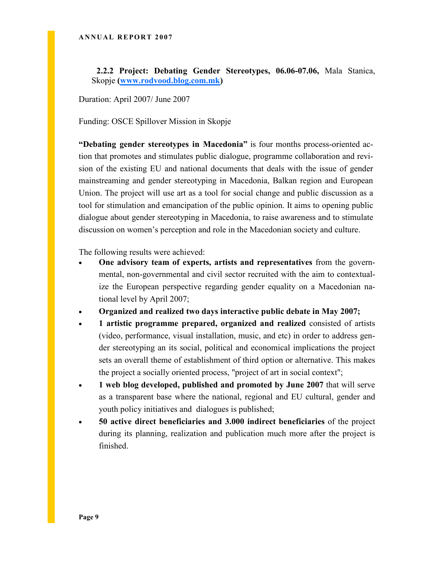2.2.2 Project: Debating Gender Stereotypes, 06.06-07.06, Mala Stanica, Skopje (www.rodvood.blog.com.mk)

Duration: April 2007/ June 2007

Funding: OSCE Spillover Mission in Skopje

"Debating gender stereotypes in Macedonia" is four months process-oriented action that promotes and stimulates public dialogue, programme collaboration and revision of the existing EU and national documents that deals with the issue of gender mainstreaming and gender stereotyping in Macedonia, Balkan region and European Union. The project will use art as a tool for social change and public discussion as a tool for stimulation and emancipation of the public opinion. It aims to opening public dialogue about gender stereotyping in Macedonia, to raise awareness and to stimulate discussion on women's perception and role in the Macedonian society and culture.

The following results were achieved:

- One advisory team of experts, artists and representatives from the governmental, non-governmental and civil sector recruited with the aim to contextualize the European perspective regarding gender equality on a Macedonian national level by April 2007;
- Organized and realized two days interactive public debate in May 2007;
- 1 artistic programme prepared, organized and realized consisted of artists (video, performance, visual installation, music, and etc) in order to address gender stereotyping an its social, political and economical implications the project sets an overall theme of establishment of third option or alternative. This makes the project a socially oriented process, "project of art in social context";
- 1 web blog developed, published and promoted by June 2007 that will serve as a transparent base where the national, regional and EU cultural, gender and youth policy initiatives and dialogues is published;
- 50 active direct beneficiaries and 3.000 indirect beneficiaries of the project during its planning, realization and publication much more after the project is finished.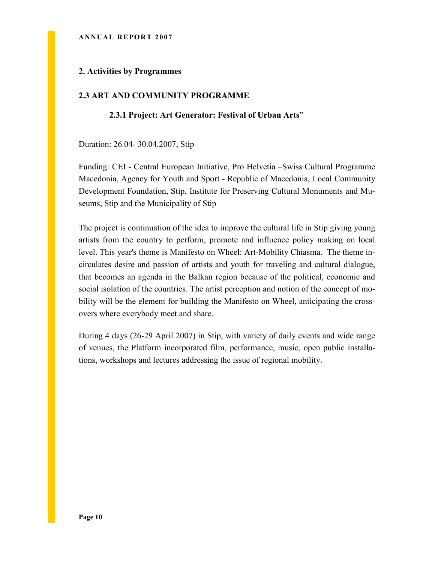#### ANNUAL REPORT 2007

#### 2. Activities by Programmes

#### 2.3 ART AND COMMUNITY PROGRAMME

#### 2.3.1 Project: Art Generator: Festival of Urban Arts"

Duration: 26.04- 30.04.2007, Stip

Funding: CEI - Central European Initiative, Pro Helvetia –Swiss Cultural Programme Macedonia, Agency for Youth and Sport - Republic of Macedonia, Local Community Development Foundation, Stip, Institute for Preserving Cultural Monuments and Museums, Stip and the Municipality of Stip

The project is continuation of the idea to improve the cultural life in Stip giving young artists from the country to perform, promote and influence policy making on local level. This year's theme is Manifesto on Wheel: Art-Mobility Chiasma. The theme incirculates desire and passion of artists and youth for traveling and cultural dialogue, that becomes an agenda in the Balkan region because of the political, economic and social isolation of the countries. The artist perception and notion of the concept of mobility will be the element for building the Manifesto on Wheel, anticipating the crossovers where everybody meet and share.

During 4 days (26-29 April 2007) in Stip, with variety of daily events and wide range of venues, the Platform incorporated film, performance, music, open public installations, workshops and lectures addressing the issue of regional mobility.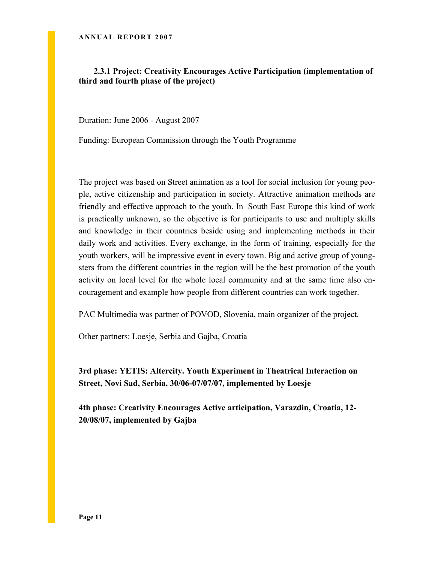#### 2.3.1 Project: Creativity Encourages Active Participation (implementation of third and fourth phase of the project)

Duration: June 2006 - August 2007

Funding: European Commission through the Youth Programme

The project was based on Street animation as a tool for social inclusion for young people, active citizenship and participation in society. Attractive animation methods are friendly and effective approach to the youth. In South East Europe this kind of work is practically unknown, so the objective is for participants to use and multiply skills and knowledge in their countries beside using and implementing methods in their daily work and activities. Every exchange, in the form of training, especially for the youth workers, will be impressive event in every town. Big and active group of youngsters from the different countries in the region will be the best promotion of the youth activity on local level for the whole local community and at the same time also encouragement and example how people from different countries can work together.

PAC Multimedia was partner of POVOD, Slovenia, main organizer of the project.

Other partners: Loesje, Serbia and Gajba, Croatia

3rd phase: YETIS: Altercity. Youth Experiment in Theatrical Interaction on Street, Novi Sad, Serbia, 30/06-07/07/07, implemented by Loesje

4th phase: Creativity Encourages Active articipation, Varazdin, Croatia, 12- 20/08/07, implemented by Gajba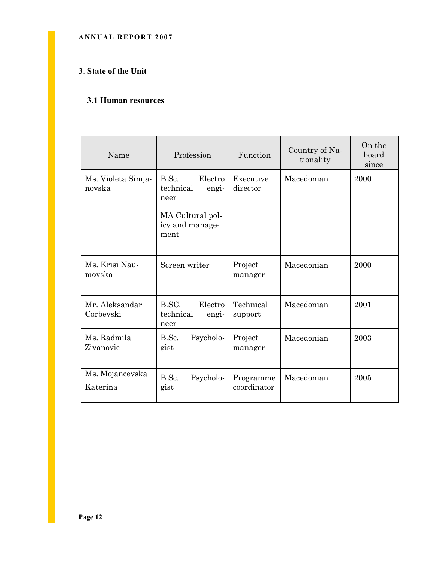#### ANNUAL REPORT 2007

#### 3. State of the Unit

#### 3.1 Human resources

| Name                         | Profession                                                                                    | Function                 | Country of Na-<br>tionality | On the<br>board<br>since |
|------------------------------|-----------------------------------------------------------------------------------------------|--------------------------|-----------------------------|--------------------------|
| Ms. Violeta Simja-<br>novska | B.Sc.<br>Electro<br>technical<br>engi-<br>neer<br>MA Cultural pol-<br>icy and manage-<br>ment | Executive<br>director    | Macedonian                  | 2000                     |
| Ms. Krisi Nau-<br>movska     | Screen writer                                                                                 | Project<br>manager       | Macedonian                  | 2000                     |
| Mr. Aleksandar<br>Corbevski  | B.SC.<br>Electro<br>technical<br>engi-<br>neer                                                | Technical<br>support     | Macedonian                  | 2001                     |
| Ms. Radmila<br>Zivanovic     | B.Sc.<br>Psycholo-<br>gist                                                                    | Project<br>manager       | Macedonian                  | 2003                     |
| Ms. Mojancevska<br>Katerina  | B.Sc.<br>Psycholo-<br>gist                                                                    | Programme<br>coordinator | Macedonian                  | 2005                     |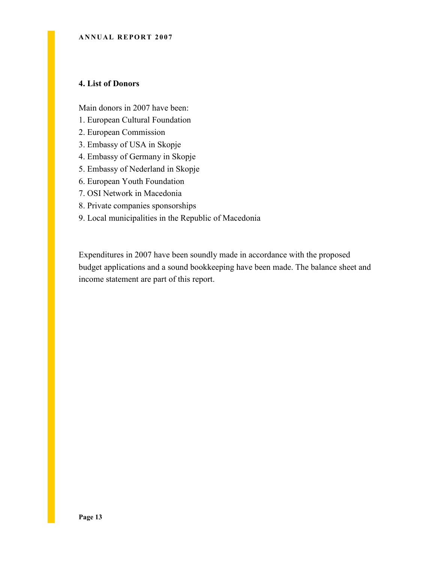#### 4. List of Donors

Main donors in 2007 have been:

- 1. European Cultural Foundation
- 2. European Commission
- 3. Embassy of USA in Skopje
- 4. Embassy of Germany in Skopje
- 5. Embassy of Nederland in Skopje
- 6. European Youth Foundation
- 7. OSI Network in Macedonia
- 8. Private companies sponsorships
- 9. Local municipalities in the Republic of Macedonia

Expenditures in 2007 have been soundly made in accordance with the proposed budget applications and a sound bookkeeping have been made. The balance sheet and income statement are part of this report.